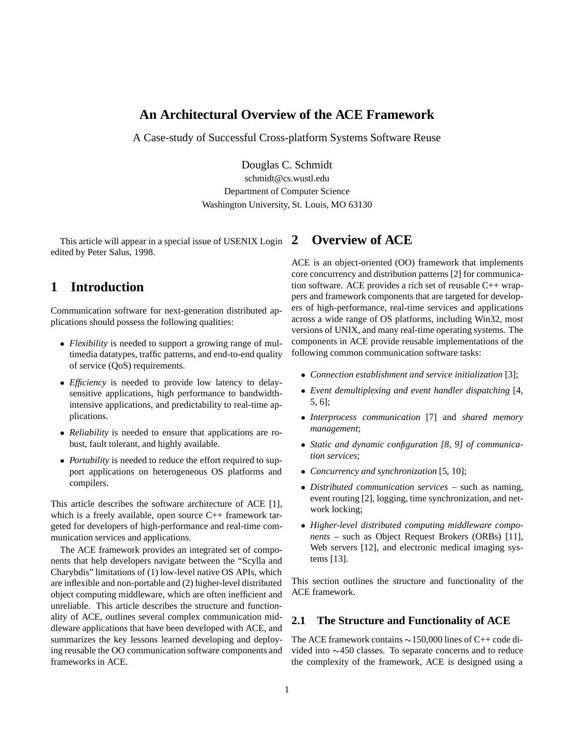### **An Architectural Overview of the ACE Framework**

A Case-study of Successful Cross-platform Systems Software Reuse

Douglas C. Schmidt

schmidt@cs.wustl.edu Department of Computer Science Washington University, St. Louis, MO 63130

This article will appear in a special issue of USENIX Login edited by Peter Salus, 1998.

# **1 Introduction**

Communication software for next-generation distributed applications should possess the following qualities:

- *Flexibility* is needed to support a growing range of multimedia datatypes, traffic patterns, and end-to-end quality of service (QoS) requirements.
- *Efficiency* is needed to provide low latency to delaysensitive applications, high performance to bandwidthintensive applications, and predictability to real-time applications.
- *Reliability* is needed to ensure that applications are robust, fault tolerant, and highly available.
- *Portability* is needed to reduce the effort required to support applications on heterogeneous OS platforms and compilers.

This article describes the software architecture of ACE [1], which is a freely available, open source C++ framework targeted for developers of high-performance and real-time communication services and applications.

The ACE framework provides an integrated set of components that help developers navigate between the "Scylla and Charybdis" limitations of (1) low-level native OS APIs, which are inflexible and non-portable and (2) higher-level distributed object computing middleware, which are often inefficient and unreliable. This article describes the structure and functionality of ACE, outlines several complex communication middleware applications that have been developed with ACE, and summarizes the key lessons learned developing and deploying reusable the OO communication software components and frameworks in ACE.

# **2 Overview of ACE**

ACE is an object-oriented (OO) framework that implements core concurrency and distribution patterns [2] for communication software. ACE provides a rich set of reusable C++ wrappers and framework components that are targeted for developers of high-performance, real-time services and applications across a wide range of OS platforms, including Win32, most versions of UNIX, and many real-time operating systems. The components in ACE provide reusable implementations of the following common communication software tasks:

- *Connection establishment and service initialization* [3];
- *Event demultiplexing and event handler dispatching* [4, 5, 6];
- *Interprocess communication* [7] and *shared memory management*;
- *Static and dynamic configuration [8, 9] of communication services*;
- *Concurrency and synchronization* [5, 10];
- *Distributed communication services* such as naming, event routing [2], logging, time synchronization, and network locking;
- *Higher-level distributed computing middleware components* – such as Object Request Brokers (ORBs) [11], Web servers [12], and electronic medical imaging systems [13].

This section outlines the structure and functionality of the ACE framework.

#### **2.1 The Structure and Functionality of ACE**

The ACE framework contains  $\sim$  150,000 lines of C++ code divided into  $\sim$ 450 classes. To separate concerns and to reduce the complexity of the framework, ACE is designed using a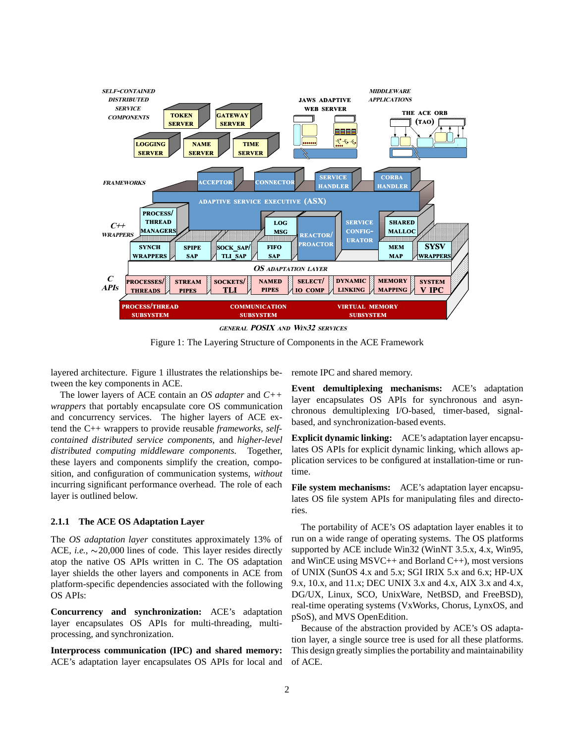

Figure 1: The Layering Structure of Components in the ACE Framework

layered architecture. Figure 1 illustrates the relationships between the key components in ACE.

The lower layers of ACE contain an *OS adapter* and *C++ wrappers* that portably encapsulate core OS communication and concurrency services. The higher layers of ACE extend the C++ wrappers to provide reusable *frameworks*, *selfcontained distributed service components*, and *higher-level distributed computing middleware components*. Together, these layers and components simplify the creation, composition, and configuration of communication systems, *without* incurring significant performance overhead. The role of each layer is outlined below.

#### **2.1.1 The ACE OS Adaptation Layer**

The *OS adaptation layer* constitutes approximately 13% of ACE, *i.e.*,  $\sim$  20,000 lines of code. This layer resides directly atop the native OS APIs written in C. The OS adaptation layer shields the other layers and components in ACE from platform-specific dependencies associated with the following OS APIs:

**Concurrency and synchronization:** ACE's adaptation layer encapsulates OS APIs for multi-threading, multiprocessing, and synchronization.

**Interprocess communication (IPC) and shared memory:** ACE's adaptation layer encapsulates OS APIs for local and remote IPC and shared memory.

**Event demultiplexing mechanisms:** ACE's adaptation layer encapsulates OS APIs for synchronous and asynchronous demultiplexing I/O-based, timer-based, signalbased, and synchronization-based events.

**Explicit dynamic linking:** ACE's adaptation layer encapsulates OS APIs for explicit dynamic linking, which allows application services to be configured at installation-time or runtime.

**File system mechanisms:** ACE's adaptation layer encapsulates OS file system APIs for manipulating files and directories.

The portability of ACE's OS adaptation layer enables it to run on a wide range of operating systems. The OS platforms supported by ACE include Win32 (WinNT 3.5.x, 4.x, Win95, and WinCE using MSVC++ and Borland C++), most versions of UNIX (SunOS 4.x and 5.x; SGI IRIX 5.x and 6.x; HP-UX 9.x, 10.x, and 11.x; DEC UNIX 3.x and 4.x, AIX 3.x and 4.x, DG/UX, Linux, SCO, UnixWare, NetBSD, and FreeBSD), real-time operating systems (VxWorks, Chorus, LynxOS, and pSoS), and MVS OpenEdition.

Because of the abstraction provided by ACE's OS adaptation layer, a single source tree is used for all these platforms. This design greatly simplies the portability and maintainability of ACE.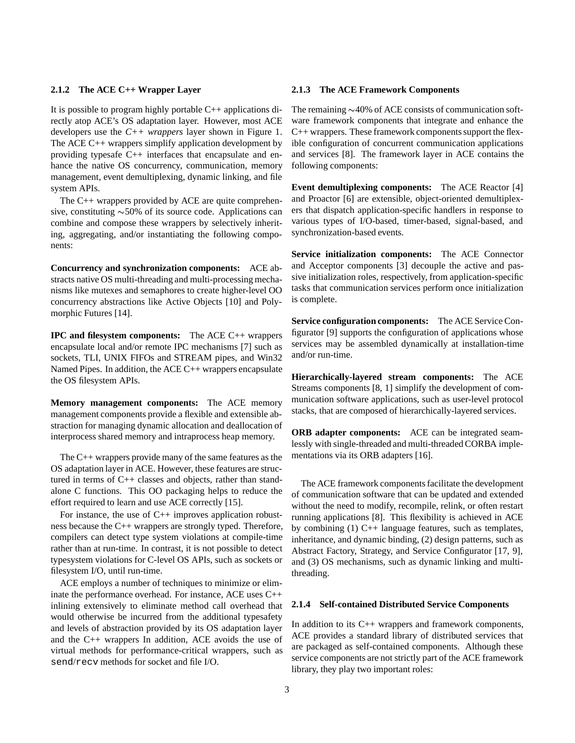#### **2.1.2 The ACE C++ Wrapper Layer**

It is possible to program highly portable C++ applications directly atop ACE's OS adaptation layer. However, most ACE developers use the *C++ wrappers* layer shown in Figure 1. The ACE C++ wrappers simplify application development by providing typesafe C++ interfaces that encapsulate and enhance the native OS concurrency, communication, memory management, event demultiplexing, dynamic linking, and file system APIs.

The C++ wrappers provided by ACE are quite comprehensive, constituting  $\sim$  50% of its source code. Applications can combine and compose these wrappers by selectively inheriting, aggregating, and/or instantiating the following components:

**Concurrency and synchronization components:** ACE abstracts native OS multi-threading and multi-processing mechanisms like mutexes and semaphores to create higher-level OO concurrency abstractions like Active Objects [10] and Polymorphic Futures [14].

**IPC and filesystem components:** The ACE C++ wrappers encapsulate local and/or remote IPC mechanisms [7] such as sockets, TLI, UNIX FIFOs and STREAM pipes, and Win32 Named Pipes. In addition, the ACE C++ wrappers encapsulate the OS filesystem APIs.

**Memory management components:** The ACE memory management components provide a flexible and extensible abstraction for managing dynamic allocation and deallocation of interprocess shared memory and intraprocess heap memory.

The C++ wrappers provide many of the same features as the OS adaptation layer in ACE. However, these features are structured in terms of C++ classes and objects, rather than standalone C functions. This OO packaging helps to reduce the effort required to learn and use ACE correctly [15].

For instance, the use of  $C_{++}$  improves application robustness because the C++ wrappers are strongly typed. Therefore, compilers can detect type system violations at compile-time rather than at run-time. In contrast, it is not possible to detect typesystem violations for C-level OS APIs, such as sockets or filesystem I/O, until run-time.

ACE employs a number of techniques to minimize or eliminate the performance overhead. For instance, ACE uses C++ inlining extensively to eliminate method call overhead that would otherwise be incurred from the additional typesafety and levels of abstraction provided by its OS adaptation layer and the C++ wrappers In addition, ACE avoids the use of virtual methods for performance-critical wrappers, such as send/recv methods for socket and file I/O.

#### **2.1.3 The ACE Framework Components**

The remaining  $\sim$ 40% of ACE consists of communication software framework components that integrate and enhance the C++ wrappers. These framework components support the flexible configuration of concurrent communication applications and services [8]. The framework layer in ACE contains the following components:

**Event demultiplexing components:** The ACE Reactor [4] and Proactor [6] are extensible, object-oriented demultiplexers that dispatch application-specific handlers in response to various types of I/O-based, timer-based, signal-based, and synchronization-based events.

**Service initialization components:** The ACE Connector and Acceptor components [3] decouple the active and passive initialization roles, respectively, from application-specific tasks that communication services perform once initialization is complete.

**Service configuration components:** The ACE Service Configurator [9] supports the configuration of applications whose services may be assembled dynamically at installation-time and/or run-time.

**Hierarchically-layered stream components:** The ACE Streams components [8, 1] simplify the development of communication software applications, such as user-level protocol stacks, that are composed of hierarchically-layered services.

**ORB adapter components:** ACE can be integrated seamlessly with single-threaded and multi-threaded CORBA implementations via its ORB adapters [16].

The ACE framework components facilitate the development of communication software that can be updated and extended without the need to modify, recompile, relink, or often restart running applications [8]. This flexibility is achieved in ACE by combining (1) C++ language features, such as templates, inheritance, and dynamic binding, (2) design patterns, such as Abstract Factory, Strategy, and Service Configurator [17, 9], and (3) OS mechanisms, such as dynamic linking and multithreading.

#### **2.1.4 Self-contained Distributed Service Components**

In addition to its C++ wrappers and framework components, ACE provides a standard library of distributed services that are packaged as self-contained components. Although these service components are not strictly part of the ACE framework library, they play two important roles: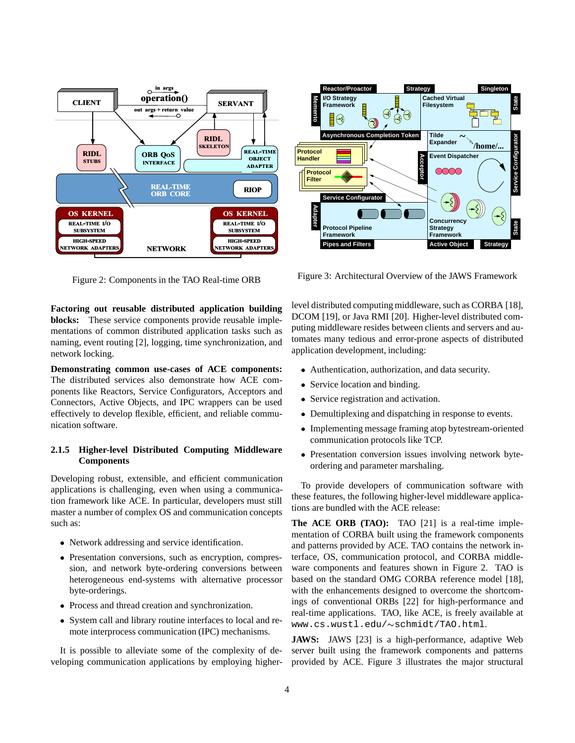

Figure 2: Components in the TAO Real-time ORB

**Factoring out reusable distributed application building blocks:** These service components provide reusable implementations of common distributed application tasks such as naming, event routing [2], logging, time synchronization, and network locking.

**Demonstrating common use-cases of ACE components:** The distributed services also demonstrate how ACE components like Reactors, Service Configurators, Acceptors and Connectors, Active Objects, and IPC wrappers can be used effectively to develop flexible, efficient, and reliable communication software.

#### **2.1.5 Higher-level Distributed Computing Middleware Components**

Developing robust, extensible, and efficient communication applications is challenging, even when using a communication framework like ACE. In particular, developers must still master a number of complex OS and communication concepts such as:

- Network addressing and service identification.
- Presentation conversions, such as encryption, compression, and network byte-ordering conversions between heterogeneous end-systems with alternative processor byte-orderings.
- Process and thread creation and synchronization.
- System call and library routine interfaces to local and remote interprocess communication (IPC) mechanisms.

It is possible to alleviate some of the complexity of developing communication applications by employing higher-



Figure 3: Architectural Overview of the JAWS Framework

level distributed computing middleware, such as CORBA [18], DCOM [19], or Java RMI [20]. Higher-level distributed computing middleware resides between clients and servers and automates many tedious and error-prone aspects of distributed application development, including:

- Authentication, authorization, and data security.
- Service location and binding.
- Service registration and activation.
- Demultiplexing and dispatching in response to events.
- Implementing message framing atop bytestream-oriented communication protocols like TCP.
- Presentation conversion issues involving network byteordering and parameter marshaling.

To provide developers of communication software with these features, the following higher-level middleware applications are bundled with the ACE release:

**The ACE ORB (TAO):** TAO [21] is a real-time implementation of CORBA built using the framework components and patterns provided by ACE. TAO contains the network interface, OS, communication protocol, and CORBA middleware components and features shown in Figure 2. TAO is based on the standard OMG CORBA reference model [18], with the enhancements designed to overcome the shortcomings of conventional ORBs [22] for high-performance and real-time applications. TAO, like ACE, is freely available at www.cs.wustl.edu/~schmidt/TAO.html.

**JAWS:** JAWS [23] is a high-performance, adaptive Web server built using the framework components and patterns provided by ACE. Figure 3 illustrates the major structural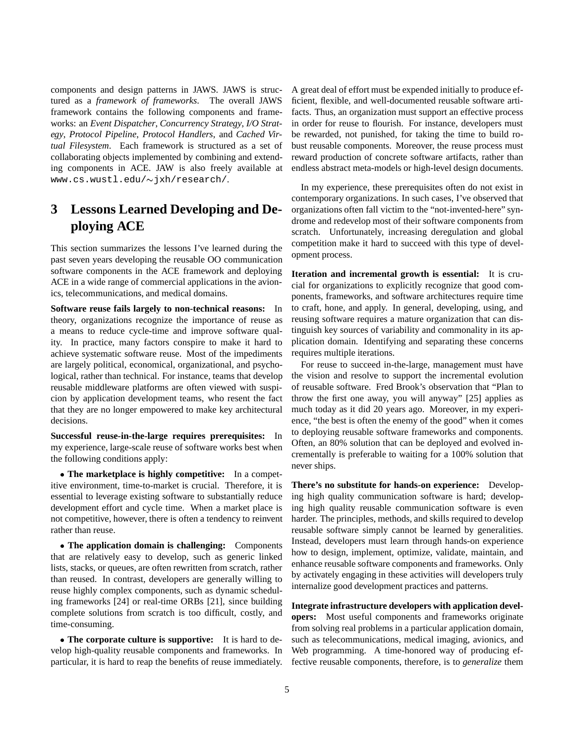components and design patterns in JAWS. JAWS is structured as a *framework of frameworks*. The overall JAWS framework contains the following components and frameworks: an *Event Dispatcher*, *Concurrency Strategy*, *I/O Strategy*, *Protocol Pipeline*, *Protocol Handlers*, and *Cached Virtual Filesystem*. Each framework is structured as a set of collaborating objects implemented by combining and extending components in ACE. JAW is also freely available at  $www.cs.wustl.edu/\sim\frac{1}{x}h/research/$ .

# **3 Lessons Learned Developing and Deploying ACE**

This section summarizes the lessons I've learned during the past seven years developing the reusable OO communication software components in the ACE framework and deploying ACE in a wide range of commercial applications in the avionics, telecommunications, and medical domains.

**Software reuse fails largely to non-technical reasons:** In theory, organizations recognize the importance of reuse as a means to reduce cycle-time and improve software quality. In practice, many factors conspire to make it hard to achieve systematic software reuse. Most of the impediments are largely political, economical, organizational, and psychological, rather than technical. For instance, teams that develop reusable middleware platforms are often viewed with suspicion by application development teams, who resent the fact that they are no longer empowered to make key architectural decisions.

**Successful reuse-in-the-large requires prerequisites:** In my experience, large-scale reuse of software works best when the following conditions apply:

 **The marketplace is highly competitive:** In a competitive environment, time-to-market is crucial. Therefore, it is essential to leverage existing software to substantially reduce development effort and cycle time. When a market place is not competitive, however, there is often a tendency to reinvent rather than reuse.

 **The application domain is challenging:** Components that are relatively easy to develop, such as generic linked lists, stacks, or queues, are often rewritten from scratch, rather than reused. In contrast, developers are generally willing to reuse highly complex components, such as dynamic scheduling frameworks [24] or real-time ORBs [21], since building complete solutions from scratch is too difficult, costly, and time-consuming.

 **The corporate culture is supportive:** It is hard to develop high-quality reusable components and frameworks. In particular, it is hard to reap the benefits of reuse immediately. A great deal of effort must be expended initially to produce efficient, flexible, and well-documented reusable software artifacts. Thus, an organization must support an effective process in order for reuse to flourish. For instance, developers must be rewarded, not punished, for taking the time to build robust reusable components. Moreover, the reuse process must reward production of concrete software artifacts, rather than endless abstract meta-models or high-level design documents.

In my experience, these prerequisites often do not exist in contemporary organizations. In such cases, I've observed that organizations often fall victim to the "not-invented-here" syndrome and redevelop most of their software components from scratch. Unfortunately, increasing deregulation and global competition make it hard to succeed with this type of development process.

**Iteration and incremental growth is essential:** It is crucial for organizations to explicitly recognize that good components, frameworks, and software architectures require time to craft, hone, and apply. In general, developing, using, and reusing software requires a mature organization that can distinguish key sources of variability and commonality in its application domain. Identifying and separating these concerns requires multiple iterations.

For reuse to succeed in-the-large, management must have the vision and resolve to support the incremental evolution of reusable software. Fred Brook's observation that "Plan to throw the first one away, you will anyway" [25] applies as much today as it did 20 years ago. Moreover, in my experience, "the best is often the enemy of the good" when it comes to deploying reusable software frameworks and components. Often, an 80% solution that can be deployed and evolved incrementally is preferable to waiting for a 100% solution that never ships.

**There's no substitute for hands-on experience:** Developing high quality communication software is hard; developing high quality reusable communication software is even harder. The principles, methods, and skills required to develop reusable software simply cannot be learned by generalities. Instead, developers must learn through hands-on experience how to design, implement, optimize, validate, maintain, and enhance reusable software components and frameworks. Only by activately engaging in these activities will developers truly internalize good development practices and patterns.

**Integrate infrastructure developers with application developers:** Most useful components and frameworks originate from solving real problems in a particular application domain, such as telecommunications, medical imaging, avionics, and Web programming. A time-honored way of producing effective reusable components, therefore, is to *generalize* them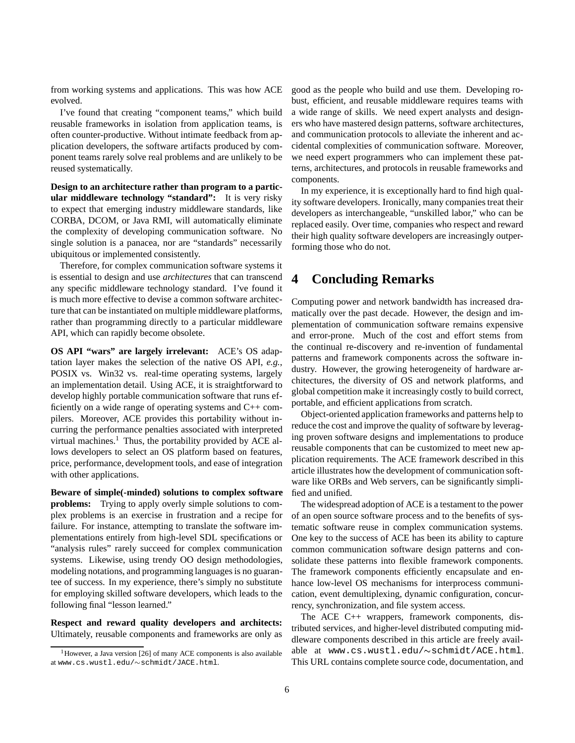from working systems and applications. This was how ACE evolved.

I've found that creating "component teams," which build reusable frameworks in isolation from application teams, is often counter-productive. Without intimate feedback from application developers, the software artifacts produced by component teams rarely solve real problems and are unlikely to be reused systematically.

**Design to an architecture rather than program to a particular middleware technology "standard":** It is very risky to expect that emerging industry middleware standards, like CORBA, DCOM, or Java RMI, will automatically eliminate the complexity of developing communication software. No single solution is a panacea, nor are "standards" necessarily ubiquitous or implemented consistently.

Therefore, for complex communication software systems it is essential to design and use *architectures* that can transcend any specific middleware technology standard. I've found it is much more effective to devise a common software architecture that can be instantiated on multiple middleware platforms, rather than programming directly to a particular middleware API, which can rapidly become obsolete.

**OS API "wars" are largely irrelevant:** ACE's OS adaptation layer makes the selection of the native OS API, *e.g.*, POSIX vs. Win32 vs. real-time operating systems, largely an implementation detail. Using ACE, it is straightforward to develop highly portable communication software that runs efficiently on a wide range of operating systems and C++ compilers. Moreover, ACE provides this portability without incurring the performance penalties associated with interpreted virtual machines.<sup>1</sup> Thus, the portability provided by ACE allows developers to select an OS platform based on features, price, performance, development tools, and ease of integration with other applications.

**Beware of simple(-minded) solutions to complex software problems:** Trying to apply overly simple solutions to complex problems is an exercise in frustration and a recipe for failure. For instance, attempting to translate the software implementations entirely from high-level SDL specifications or "analysis rules" rarely succeed for complex communication systems. Likewise, using trendy OO design methodologies, modeling notations, and programming languages is no guarantee of success. In my experience, there's simply no substitute for employing skilled software developers, which leads to the following final "lesson learned."

**Respect and reward quality developers and architects:** Ultimately, reusable components and frameworks are only as

good as the people who build and use them. Developing robust, efficient, and reusable middleware requires teams with a wide range of skills. We need expert analysts and designers who have mastered design patterns, software architectures, and communication protocols to alleviate the inherent and accidental complexities of communication software. Moreover, we need expert programmers who can implement these patterns, architectures, and protocols in reusable frameworks and components.

In my experience, it is exceptionally hard to find high quality software developers. Ironically, many companies treat their developers as interchangeable, "unskilled labor," who can be replaced easily. Over time, companies who respect and reward their high quality software developers are increasingly outperforming those who do not.

# **4 Concluding Remarks**

Computing power and network bandwidth has increased dramatically over the past decade. However, the design and implementation of communication software remains expensive and error-prone. Much of the cost and effort stems from the continual re-discovery and re-invention of fundamental patterns and framework components across the software industry. However, the growing heterogeneity of hardware architectures, the diversity of OS and network platforms, and global competition make it increasingly costly to build correct, portable, and efficient applications from scratch.

Object-oriented application frameworks and patterns help to reduce the cost and improve the quality of software by leveraging proven software designs and implementations to produce reusable components that can be customized to meet new application requirements. The ACE framework described in this article illustrates how the development of communication software like ORBs and Web servers, can be significantly simplified and unified.

The widespread adoption of ACE is a testament to the power of an open source software process and to the benefits of systematic software reuse in complex communication systems. One key to the success of ACE has been its ability to capture common communication software design patterns and consolidate these patterns into flexible framework components. The framework components efficiently encapsulate and enhance low-level OS mechanisms for interprocess communication, event demultiplexing, dynamic configuration, concurrency, synchronization, and file system access.

The ACE C++ wrappers, framework components, distributed services, and higher-level distributed computing middleware components described in this article are freely available at www.cs.wustl.edu/ $\sim$ schmidt/ACE.html. This URL contains complete source code, documentation, and

 $1$ However, a Java version [26] of many ACE components is also available at www.cs.wustl.edu/ $\sim$ schmidt/JACE.html.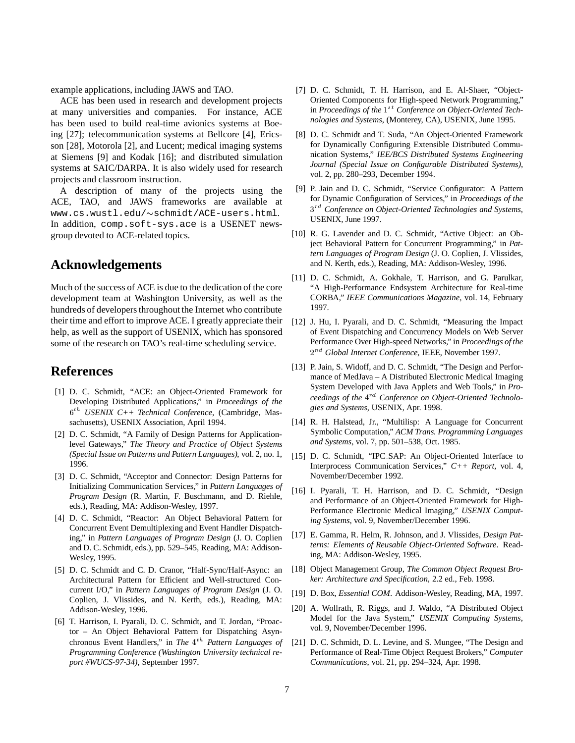example applications, including JAWS and TAO.

ACE has been used in research and development projects at many universities and companies. For instance, ACE has been used to build real-time avionics systems at Boeing [27]; telecommunication systems at Bellcore [4], Ericsson [28], Motorola [2], and Lucent; medical imaging systems at Siemens [9] and Kodak [16]; and distributed simulation systems at SAIC/DARPA. It is also widely used for research projects and classroom instruction.

A description of many of the projects using the ACE, TAO, and JAWS frameworks are available at www.cs.wustl.edu/~schmidt/ACE-users.html. In addition, comp.soft-sys.ace is a USENET newsgroup devoted to ACE-related topics.

# **Acknowledgements**

Much of the success of ACE is due to the dedication of the core development team at Washington University, as well as the hundreds of developers throughout the Internet who contribute their time and effort to improve ACE. I greatly appreciate their help, as well as the support of USENIX, which has sponsored some of the research on TAO's real-time scheduling service.

# **References**

- [1] D. C. Schmidt, "ACE: an Object-Oriented Framework for Developing Distributed Applications," in *Proceedings of the* <sup>6</sup> th *USENIX C++ Technical Conference*, (Cambridge, Massachusetts), USENIX Association, April 1994.
- [2] D. C. Schmidt, "A Family of Design Patterns for Applicationlevel Gateways," *The Theory and Practice of Object Systems (Special Issue on Patterns and Pattern Languages)*, vol. 2, no. 1, 1996.
- [3] D. C. Schmidt, "Acceptor and Connector: Design Patterns for Initializing Communication Services," in *Pattern Languages of Program Design* (R. Martin, F. Buschmann, and D. Riehle, eds.), Reading, MA: Addison-Wesley, 1997.
- [4] D. C. Schmidt, "Reactor: An Object Behavioral Pattern for Concurrent Event Demultiplexing and Event Handler Dispatching," in *Pattern Languages of Program Design* (J. O. Coplien and D. C. Schmidt, eds.), pp. 529–545, Reading, MA: Addison-Wesley, 1995.
- [5] D. C. Schmidt and C. D. Cranor, "Half-Sync/Half-Async: an Architectural Pattern for Efficient and Well-structured Concurrent I/O," in *Pattern Languages of Program Design* (J. O. Coplien, J. Vlissides, and N. Kerth, eds.), Reading, MA: Addison-Wesley, 1996.
- [6] T. Harrison, I. Pyarali, D. C. Schmidt, and T. Jordan, "Proactor – An Object Behavioral Pattern for Dispatching Asynchronous Event Handlers," in *The* 4<sup>th</sup> Pattern Languages of *Programming Conference (Washington University technical report #WUCS-97-34)*, September 1997.
- [7] D. C. Schmidt, T. H. Harrison, and E. Al-Shaer, "Object-Oriented Components for High-speed Network Programming," in *Proceedings of the*  $1^{st}$  Conference on Object-Oriented Tech*nologies and Systems*, (Monterey, CA), USENIX, June 1995.
- [8] D. C. Schmidt and T. Suda, "An Object-Oriented Framework for Dynamically Configuring Extensible Distributed Communication Systems," *IEE/BCS Distributed Systems Engineering Journal (Special Issue on Configurable Distributed Systems)*, vol. 2, pp. 280–293, December 1994.
- [9] P. Jain and D. C. Schmidt, "Service Configurator: A Pattern for Dynamic Configuration of Services," in *Proceedings of the*  $3^{rd}$  Conference on Object-Oriented Technologies and Systems, USENIX, June 1997.
- [10] R. G. Lavender and D. C. Schmidt, "Active Object: an Object Behavioral Pattern for Concurrent Programming," in *Pattern Languages of Program Design* (J. O. Coplien, J. Vlissides, and N. Kerth, eds.), Reading, MA: Addison-Wesley, 1996.
- [11] D. C. Schmidt, A. Gokhale, T. Harrison, and G. Parulkar, "A High-Performance Endsystem Architecture for Real-time CORBA," *IEEE Communications Magazine*, vol. 14, February 1997.
- [12] J. Hu, I. Pyarali, and D. C. Schmidt, "Measuring the Impact of Event Dispatching and Concurrency Models on Web Server Performance Over High-speed Networks," in *Proceedings of the* <sup>2</sup> nd *Global Internet Conference*, IEEE, November 1997.
- [13] P. Jain, S. Widoff, and D. C. Schmidt, "The Design and Performance of MedJava – A Distributed Electronic Medical Imaging System Developed with Java Applets and Web Tools," in *Pro*ceedings of the 4<sup>rd</sup> Conference on Object-Oriented Technolo*gies and Systems*, USENIX, Apr. 1998.
- [14] R. H. Halstead, Jr., "Multilisp: A Language for Concurrent Symbolic Computation," *ACM Trans. Programming Languages and Systems*, vol. 7, pp. 501–538, Oct. 1985.
- [15] D. C. Schmidt, "IPC\_SAP: An Object-Oriented Interface to Interprocess Communication Services," *C++ Report*, vol. 4, November/December 1992.
- [16] I. Pyarali, T. H. Harrison, and D. C. Schmidt, "Design and Performance of an Object-Oriented Framework for High-Performance Electronic Medical Imaging," *USENIX Computing Systems*, vol. 9, November/December 1996.
- [17] E. Gamma, R. Helm, R. Johnson, and J. Vlissides, *Design Patterns: Elements of Reusable Object-Oriented Software*. Reading, MA: Addison-Wesley, 1995.
- [18] Object Management Group, *The Common Object Request Broker: Architecture and Specification*, 2.2 ed., Feb. 1998.
- [19] D. Box, *Essential COM*. Addison-Wesley, Reading, MA, 1997.
- [20] A. Wollrath, R. Riggs, and J. Waldo, "A Distributed Object Model for the Java System," *USENIX Computing Systems*, vol. 9, November/December 1996.
- [21] D. C. Schmidt, D. L. Levine, and S. Mungee, "The Design and Performance of Real-Time Object Request Brokers," *Computer Communications*, vol. 21, pp. 294–324, Apr. 1998.